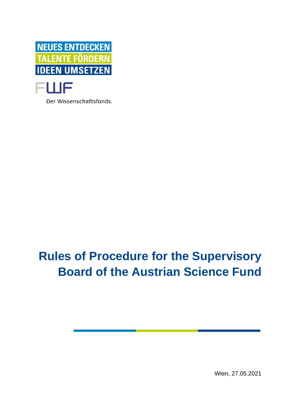

Der Wissenschaftsfonds.

# **Rules of Procedure for the Supervisory Board of the Austrian Science Fund**

Wien, 27.05.2021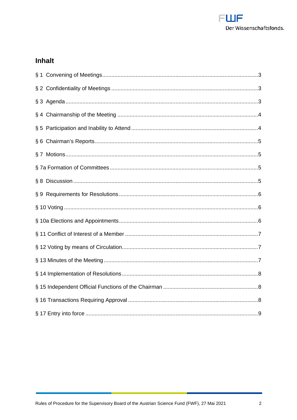

# Inhalt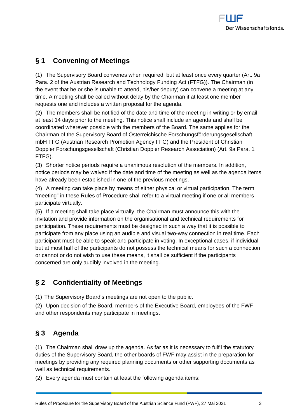## <span id="page-2-0"></span>**§ 1 Convening of Meetings**

(1) The Supervisory Board convenes when required, but at least once every quarter (Art. 9a Para. 2 of the Austrian Research and Technology Funding Act (FTFG)). The Chairman (in the event that he or she is unable to attend, his/her deputy) can convene a meeting at any time. A meeting shall be called without delay by the Chairman if at least one member requests one and includes a written proposal for the agenda.

(2) The members shall be notified of the date and time of the meeting in writing or by email at least 14 days prior to the meeting. This notice shall include an agenda and shall be coordinated wherever possible with the members of the Board. The same applies for the Chairman of the Supervisory Board of Österreichische Forschungsförderungsgesellschaft mbH FFG (Austrian Research Promotion Agency FFG) and the President of Christian Doppler Forschungsgesellschaft (Christian Doppler Research Association) (Art. 9a Para. 1 FTFG).

(3) Shorter notice periods require a unanimous resolution of the members. In addition, notice periods may be waived if the date and time of the meeting as well as the agenda items have already been established in one of the previous meetings.

(4) A meeting can take place by means of either physical or virtual participation. The term "meeting" in these Rules of Procedure shall refer to a virtual meeting if one or all members participate virtually.

(5) If a meeting shall take place virtually, the Chairman must announce this with the invitation and provide information on the organisational and technical requirements for participation. These requirements must be designed in such a way that it is possible to participate from any place using an audible and visual two-way connection in real time. Each participant must be able to speak and participate in voting. In exceptional cases, if individual but at most half of the participants do not possess the technical means for such a connection or cannot or do not wish to use these means, it shall be sufficient if the participants concerned are only audibly involved in the meeting.

# <span id="page-2-1"></span>**§ 2 Confidentiality of Meetings**

(1) The Supervisory Board's meetings are not open to the public.

(2) Upon decision of the Board, members of the Executive Board, employees of the FWF and other respondents may participate in meetings.

# <span id="page-2-2"></span>**§ 3 Agenda**

(1) The Chairman shall draw up the agenda. As far as it is necessary to fulfil the statutory duties of the Supervisory Board, the other boards of FWF may assist in the preparation for meetings by providing any required planning documents or other supporting documents as well as technical requirements.

(2) Every agenda must contain at least the following agenda items: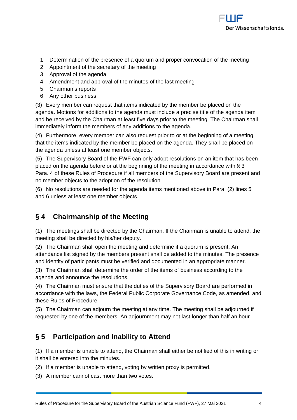

- 1. Determination of the presence of a quorum and proper convocation of the meeting
- 2. Appointment of the secretary of the meeting
- 3. Approval of the agenda
- 4. Amendment and approval of the minutes of the last meeting
- 5. Chairman's reports
- 6. Any other business

(3) Every member can request that items indicated by the member be placed on the agenda. Motions for additions to the agenda must include a precise title of the agenda item and be received by the Chairman at least five days prior to the meeting. The Chairman shall immediately inform the members of any additions to the agenda.

(4) Furthermore, every member can also request prior to or at the beginning of a meeting that the items indicated by the member be placed on the agenda. They shall be placed on the agenda unless at least one member objects.

(5) The Supervisory Board of the FWF can only adopt resolutions on an item that has been placed on the agenda before or at the beginning of the meeting in accordance with § 3 Para. 4 of these Rules of Procedure if all members of the Supervisory Board are present and no member objects to the adoption of the resolution.

(6) No resolutions are needed for the agenda items mentioned above in Para. (2) lines 5 and 6 unless at least one member objects.

#### <span id="page-3-0"></span>**§ 4 Chairmanship of the Meeting**

(1) The meetings shall be directed by the Chairman. If the Chairman is unable to attend, the meeting shall be directed by his/her deputy.

(2) The Chairman shall open the meeting and determine if a quorum is present. An attendance list signed by the members present shall be added to the minutes. The presence and identity of participants must be verified and documented in an appropriate manner.

(3) The Chairman shall determine the order of the items of business according to the agenda and announce the resolutions.

(4) The Chairman must ensure that the duties of the Supervisory Board are performed in accordance with the laws, the Federal Public Corporate Governance Code, as amended, and these Rules of Procedure.

(5) The Chairman can adjourn the meeting at any time. The meeting shall be adjourned if requested by one of the members. An adjournment may not last longer than half an hour.

#### <span id="page-3-1"></span>**§ 5 Participation and Inability to Attend**

(1) If a member is unable to attend, the Chairman shall either be notified of this in writing or it shall be entered into the minutes.

- (2) If a member is unable to attend, voting by written proxy is permitted.
- (3) A member cannot cast more than two votes.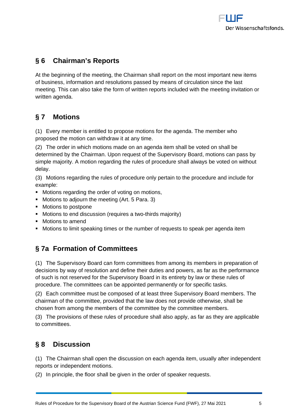## <span id="page-4-0"></span>**§ 6 Chairman's Reports**

At the beginning of the meeting, the Chairman shall report on the most important new items of business, information and resolutions passed by means of circulation since the last meeting. This can also take the form of written reports included with the meeting invitation or written agenda.

## <span id="page-4-1"></span>**§ 7 Motions**

(1) Every member is entitled to propose motions for the agenda. The member who proposed the motion can withdraw it at any time.

(2) The order in which motions made on an agenda item shall be voted on shall be determined by the Chairman. Upon request of the Supervisory Board, motions can pass by simple majority. A motion regarding the rules of procedure shall always be voted on without delay.

(3) Motions regarding the rules of procedure only pertain to the procedure and include for example:

- **Motions regarding the order of voting on motions,**
- Motions to adjourn the meeting (Art. 5 Para. 3)
- Motions to postpone
- Motions to end discussion (requires a two-thirds majority)
- Motions to amend
- <span id="page-4-2"></span>Motions to limit speaking times or the number of requests to speak per agenda item

## **§ 7a Formation of Committees**

(1) The Supervisory Board can form committees from among its members in preparation of decisions by way of resolution and define their duties and powers, as far as the performance of such is not reserved for the Supervisory Board in its entirety by law or these rules of procedure. The committees can be appointed permanently or for specific tasks.

(2) Each committee must be composed of at least three Supervisory Board members. The chairman of the committee, provided that the law does not provide otherwise, shall be chosen from among the members of the committee by the committee members.

(3) The provisions of these rules of procedure shall also apply, as far as they are applicable to committees.

## <span id="page-4-3"></span>**§ 8 Discussion**

(1) The Chairman shall open the discussion on each agenda item, usually after independent reports or independent motions.

(2) In principle, the floor shall be given in the order of speaker requests.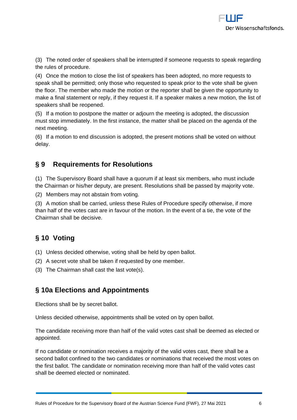(3) The noted order of speakers shall be interrupted if someone requests to speak regarding the rules of procedure.

(4) Once the motion to close the list of speakers has been adopted, no more requests to speak shall be permitted; only those who requested to speak prior to the vote shall be given the floor. The member who made the motion or the reporter shall be given the opportunity to make a final statement or reply, if they request it. If a speaker makes a new motion, the list of speakers shall be reopened.

(5) If a motion to postpone the matter or adjourn the meeting is adopted, the discussion must stop immediately. In the first instance, the matter shall be placed on the agenda of the next meeting.

(6) If a motion to end discussion is adopted, the present motions shall be voted on without delay.

#### <span id="page-5-0"></span>**§ 9 Requirements for Resolutions**

(1) The Supervisory Board shall have a quorum if at least six members, who must include the Chairman or his/her deputy, are present. Resolutions shall be passed by majority vote.

(2) Members may not abstain from voting.

(3) A motion shall be carried, unless these Rules of Procedure specify otherwise, if more than half of the votes cast are in favour of the motion. In the event of a tie, the vote of the Chairman shall be decisive.

# <span id="page-5-1"></span>**§ 10 Voting**

- (1) Unless decided otherwise, voting shall be held by open ballot.
- (2) A secret vote shall be taken if requested by one member.
- <span id="page-5-2"></span>(3) The Chairman shall cast the last vote(s).

#### **§ 10a Elections and Appointments**

Elections shall be by secret ballot.

Unless decided otherwise, appointments shall be voted on by open ballot.

The candidate receiving more than half of the valid votes cast shall be deemed as elected or appointed.

If no candidate or nomination receives a majority of the valid votes cast, there shall be a second ballot confined to the two candidates or nominations that received the most votes on the first ballot. The candidate or nomination receiving more than half of the valid votes cast shall be deemed elected or nominated.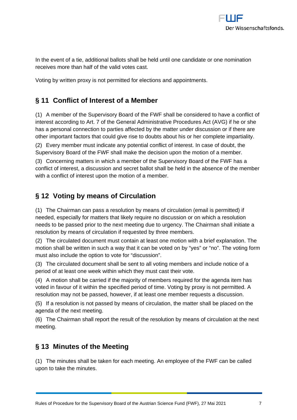

In the event of a tie, additional ballots shall be held until one candidate or one nomination receives more than half of the valid votes cast.

<span id="page-6-0"></span>Voting by written proxy is not permitted for elections and appointments.

### **§ 11 Conflict of Interest of a Member**

(1) A member of the Supervisory Board of the FWF shall be considered to have a conflict of interest according to Art. 7 of the General Administrative Procedures Act (AVG) if he or she has a personal connection to parties affected by the matter under discussion or if there are other important factors that could give rise to doubts about his or her complete impartiality.

(2) Every member must indicate any potential conflict of interest. In case of doubt, the Supervisory Board of the FWF shall make the decision upon the motion of a member.

(3) Concerning matters in which a member of the Supervisory Board of the FWF has a conflict of interest, a discussion and secret ballot shall be held in the absence of the member with a conflict of interest upon the motion of a member.

#### <span id="page-6-1"></span>**§ 12 Voting by means of Circulation**

(1) The Chairman can pass a resolution by means of circulation (email is permitted) if needed, especially for matters that likely require no discussion or on which a resolution needs to be passed prior to the next meeting due to urgency. The Chairman shall initiate a resolution by means of circulation if requested by three members.

(2) The circulated document must contain at least one motion with a brief explanation. The motion shall be written in such a way that it can be voted on by "yes" or "no". The voting form must also include the option to vote for "discussion".

(3) The circulated document shall be sent to all voting members and include notice of a period of at least one week within which they must cast their vote.

(4) A motion shall be carried if the majority of members required for the agenda item has voted in favour of it within the specified period of time. Voting by proxy is not permitted. A resolution may not be passed, however, if at least one member requests a discussion.

(5) If a resolution is not passed by means of circulation, the matter shall be placed on the agenda of the next meeting.

(6) The Chairman shall report the result of the resolution by means of circulation at the next meeting.

#### <span id="page-6-2"></span>**§ 13 Minutes of the Meeting**

(1) The minutes shall be taken for each meeting. An employee of the FWF can be called upon to take the minutes.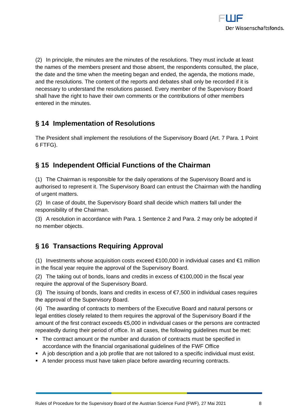

(2) In principle, the minutes are the minutes of the resolutions. They must include at least the names of the members present and those absent, the respondents consulted, the place, the date and the time when the meeting began and ended, the agenda, the motions made, and the resolutions. The content of the reports and debates shall only be recorded if it is necessary to understand the resolutions passed. Every member of the Supervisory Board shall have the right to have their own comments or the contributions of other members entered in the minutes.

#### <span id="page-7-0"></span>**§ 14 Implementation of Resolutions**

The President shall implement the resolutions of the Supervisory Board (Art. 7 Para. 1 Point 6 FTFG).

#### <span id="page-7-1"></span>**§ 15 Independent Official Functions of the Chairman**

(1) The Chairman is responsible for the daily operations of the Supervisory Board and is authorised to represent it. The Supervisory Board can entrust the Chairman with the handling of urgent matters.

(2) In case of doubt, the Supervisory Board shall decide which matters fall under the responsibility of the Chairman.

(3) A resolution in accordance with Para. 1 Sentence 2 and Para. 2 may only be adopted if no member objects.

## <span id="page-7-2"></span>**§ 16 Transactions Requiring Approval**

(1) Investments whose acquisition costs exceed  $\epsilon$ 100,000 in individual cases and  $\epsilon$ 1 million in the fiscal year require the approval of the Supervisory Board.

(2) The taking out of bonds, loans and credits in excess of  $\epsilon$ 100,000 in the fiscal year require the approval of the Supervisory Board.

(3) The issuing of bonds, loans and credits in excess of  $\epsilon$ 7,500 in individual cases requires the approval of the Supervisory Board.

(4) The awarding of contracts to members of the Executive Board and natural persons or legal entities closely related to them requires the approval of the Supervisory Board if the amount of the first contract exceeds €5,000 in individual cases or the persons are contracted repeatedly during their period of office. In all cases, the following guidelines must be met:

- The contract amount or the number and duration of contracts must be specified in accordance with the financial organisational guidelines of the FWF Office
- A job description and a job profile that are not tailored to a specific individual must exist.
- A tender process must have taken place before awarding recurring contracts.